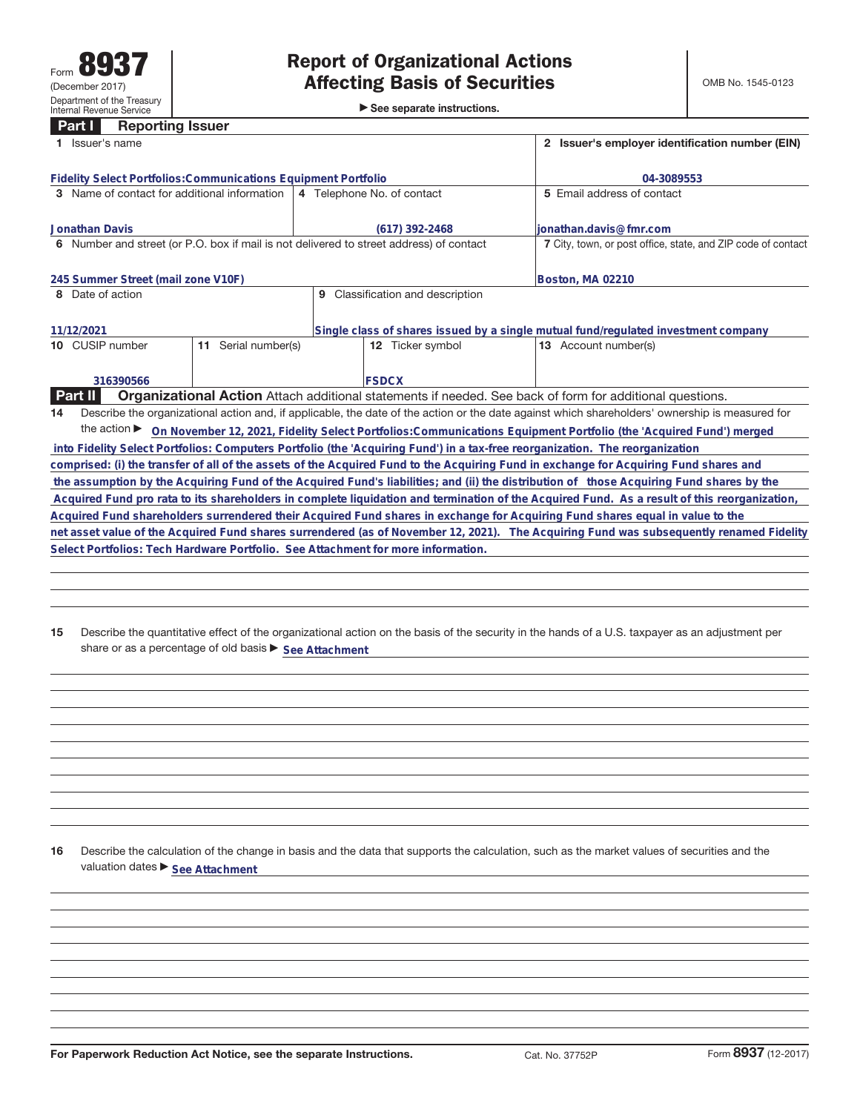**Part I Reporting Issuer**

►<br>► See separate instructions.

|                                    | 1 Issuer's name                                                                                                                                 |                            |                  |              |                                |                            | 2 Issuer's employer identification number (EIN)                                                                                              |  |  |  |
|------------------------------------|-------------------------------------------------------------------------------------------------------------------------------------------------|----------------------------|------------------|--------------|--------------------------------|----------------------------|----------------------------------------------------------------------------------------------------------------------------------------------|--|--|--|
|                                    | <b>Fidelity Select Portfolios: Communications Equipment Portfolio</b>                                                                           |                            |                  | 04-3089553   |                                |                            |                                                                                                                                              |  |  |  |
|                                    | 3 Name of contact for additional information                                                                                                    | 4 Telephone No. of contact |                  |              |                                | 5 Email address of contact |                                                                                                                                              |  |  |  |
|                                    |                                                                                                                                                 |                            |                  |              |                                |                            |                                                                                                                                              |  |  |  |
|                                    | <b>Jonathan Davis</b>                                                                                                                           |                            | $(617)$ 392-2468 |              |                                |                            | lionathan.davis@fmr.com                                                                                                                      |  |  |  |
|                                    | 6 Number and street (or P.O. box if mail is not delivered to street address) of contact                                                         |                            |                  |              |                                |                            | 7 City, town, or post office, state, and ZIP code of contact                                                                                 |  |  |  |
| 245 Summer Street (mail zone V10F) |                                                                                                                                                 |                            |                  |              |                                |                            | Boston, MA 02210                                                                                                                             |  |  |  |
|                                    | 8 Date of action                                                                                                                                |                            | 9                |              | Classification and description |                            |                                                                                                                                              |  |  |  |
|                                    | 11/12/2021                                                                                                                                      |                            |                  |              |                                |                            | Single class of shares issued by a single mutual fund/regulated investment company                                                           |  |  |  |
|                                    | 10 CUSIP number                                                                                                                                 | Serial number(s)<br>11     |                  |              | 12 Ticker symbol               |                            | 13 Account number(s)                                                                                                                         |  |  |  |
|                                    |                                                                                                                                                 |                            |                  |              |                                |                            |                                                                                                                                              |  |  |  |
|                                    |                                                                                                                                                 |                            |                  |              |                                |                            |                                                                                                                                              |  |  |  |
|                                    | 316390566                                                                                                                                       |                            |                  | <b>FSDCX</b> |                                |                            |                                                                                                                                              |  |  |  |
|                                    | Part II                                                                                                                                         |                            |                  |              |                                |                            | <b>Organizational Action</b> Attach additional statements if needed. See back of form for additional questions.                              |  |  |  |
| 14                                 | Describe the organizational action and, if applicable, the date of the action or the date against which shareholders' ownership is measured for |                            |                  |              |                                |                            |                                                                                                                                              |  |  |  |
|                                    |                                                                                                                                                 |                            |                  |              |                                |                            | the action > On November 12, 2021, Fidelity Select Portfolios: Communications Equipment Portfolio (the 'Acquired Fund') merged               |  |  |  |
|                                    |                                                                                                                                                 |                            |                  |              |                                |                            | into Fidelity Select Portfolios: Computers Portfolio (the 'Acquiring Fund') in a tax-free reorganization. The reorganization                 |  |  |  |
|                                    |                                                                                                                                                 |                            |                  |              |                                |                            | comprised: (i) the transfer of all of the assets of the Acquired Fund to the Acquiring Fund in exchange for Acquiring Fund shares and        |  |  |  |
|                                    |                                                                                                                                                 |                            |                  |              |                                |                            | the assumption by the Acquiring Fund of the Acquired Fund's liabilities; and (ii) the distribution of those Acquiring Fund shares by the     |  |  |  |
|                                    |                                                                                                                                                 |                            |                  |              |                                |                            | Acquired Fund pro rata to its shareholders in complete liquidation and termination of the Acquired Fund. As a result of this reorganization, |  |  |  |
|                                    |                                                                                                                                                 |                            |                  |              |                                |                            | Acquired Fund shareholders surrendered their Acquired Fund shares in exchange for Acquiring Fund shares equal in value to the                |  |  |  |
|                                    |                                                                                                                                                 |                            |                  |              |                                |                            | net asset value of the Acquired Fund shares surrendered (as of November 12, 2021). The Acquiring Fund was subsequently renamed Fidelity      |  |  |  |
|                                    | Select Portfolios: Tech Hardware Portfolio. See Attachment for more information.                                                                |                            |                  |              |                                |                            |                                                                                                                                              |  |  |  |
|                                    |                                                                                                                                                 |                            |                  |              |                                |                            |                                                                                                                                              |  |  |  |

**15** Describe the quantitative effect of the organizational action on the basis of the security in the hands of a U.S. taxpayer as an adjustment per share or as a percentage of old basis  $\blacktriangleright$  See Attachment

**16** Describe the calculation of the change in basis and the data that supports the calculation, such as the market values of securities and the valuation dates  $\blacktriangleright$  **See Attachment**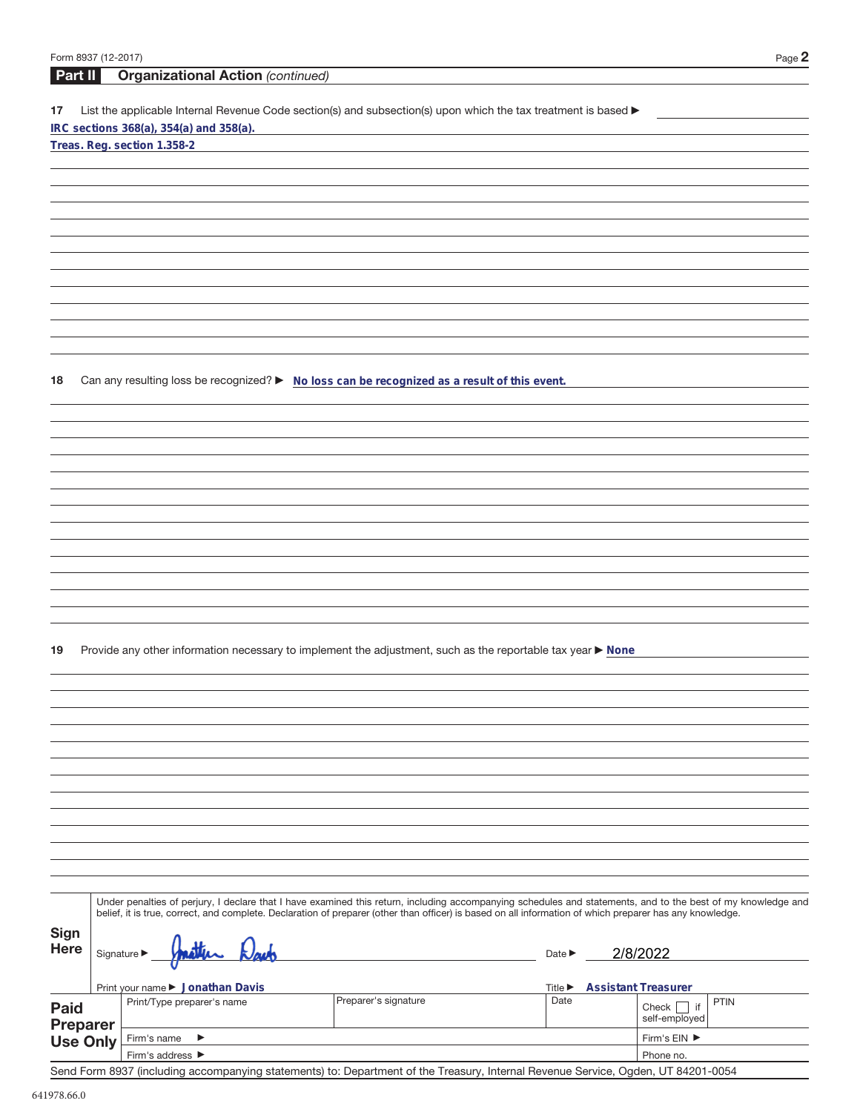| Form 8937 (12-2017) |                                                                                                                                                              |                      |                             | Page $2$                       |  |  |  |
|---------------------|--------------------------------------------------------------------------------------------------------------------------------------------------------------|----------------------|-----------------------------|--------------------------------|--|--|--|
| Part II             | <b>Organizational Action (continued)</b>                                                                                                                     |                      |                             |                                |  |  |  |
| 17                  | List the applicable Internal Revenue Code section(s) and subsection(s) upon which the tax treatment is based ▶<br>IRC sections 368(a), 354(a) and 358(a).    |                      |                             |                                |  |  |  |
|                     | Treas. Reg. section 1.358-2                                                                                                                                  |                      |                             |                                |  |  |  |
|                     |                                                                                                                                                              |                      |                             |                                |  |  |  |
|                     |                                                                                                                                                              |                      |                             |                                |  |  |  |
|                     |                                                                                                                                                              |                      |                             |                                |  |  |  |
|                     |                                                                                                                                                              |                      |                             |                                |  |  |  |
|                     |                                                                                                                                                              |                      |                             |                                |  |  |  |
|                     |                                                                                                                                                              |                      |                             |                                |  |  |  |
|                     |                                                                                                                                                              |                      |                             |                                |  |  |  |
|                     |                                                                                                                                                              |                      |                             |                                |  |  |  |
|                     |                                                                                                                                                              |                      |                             |                                |  |  |  |
|                     |                                                                                                                                                              |                      |                             |                                |  |  |  |
| 18                  | Can any resulting loss be recognized? > No loss can be recognized as a result of this event.                                                                 |                      |                             |                                |  |  |  |
|                     |                                                                                                                                                              |                      |                             |                                |  |  |  |
|                     |                                                                                                                                                              |                      |                             |                                |  |  |  |
|                     |                                                                                                                                                              |                      |                             |                                |  |  |  |
|                     |                                                                                                                                                              |                      |                             |                                |  |  |  |
|                     |                                                                                                                                                              |                      |                             |                                |  |  |  |
|                     |                                                                                                                                                              |                      |                             |                                |  |  |  |
|                     |                                                                                                                                                              |                      |                             |                                |  |  |  |
|                     |                                                                                                                                                              |                      |                             |                                |  |  |  |
|                     |                                                                                                                                                              |                      |                             |                                |  |  |  |
|                     |                                                                                                                                                              |                      |                             |                                |  |  |  |
|                     |                                                                                                                                                              |                      |                             |                                |  |  |  |
| 19                  | Provide any other information necessary to implement the adjustment, such as the reportable tax year ▶ None                                                  |                      |                             |                                |  |  |  |
|                     |                                                                                                                                                              |                      |                             |                                |  |  |  |
|                     |                                                                                                                                                              |                      |                             |                                |  |  |  |
|                     |                                                                                                                                                              |                      |                             |                                |  |  |  |
|                     |                                                                                                                                                              |                      |                             |                                |  |  |  |
|                     |                                                                                                                                                              |                      |                             |                                |  |  |  |
|                     |                                                                                                                                                              |                      |                             |                                |  |  |  |
|                     |                                                                                                                                                              |                      |                             |                                |  |  |  |
|                     |                                                                                                                                                              |                      |                             |                                |  |  |  |
|                     |                                                                                                                                                              |                      |                             |                                |  |  |  |
|                     |                                                                                                                                                              |                      |                             |                                |  |  |  |
|                     |                                                                                                                                                              |                      |                             |                                |  |  |  |
|                     | Under penalties of perjury, I declare that I have examined this return, including accompanying schedules and statements, and to the best of my knowledge and |                      |                             |                                |  |  |  |
|                     | belief, it is true, correct, and complete. Declaration of preparer (other than officer) is based on all information of which preparer has any knowledge.     |                      |                             |                                |  |  |  |
| Sign<br><b>Here</b> |                                                                                                                                                              |                      |                             |                                |  |  |  |
|                     | Signature $\blacktriangleright$                                                                                                                              |                      | Date $\blacktriangleright$  | 2/8/2022                       |  |  |  |
|                     | Print your name ▶ Jonathan Davis                                                                                                                             |                      | Title $\blacktriangleright$ | <b>Assistant Treasurer</b>     |  |  |  |
| <b>Paid</b>         | Print/Type preparer's name                                                                                                                                   | Preparer's signature | Date                        | <b>PTIN</b><br>Check $\Box$ if |  |  |  |
| <b>Preparer</b>     |                                                                                                                                                              |                      |                             | self-employed                  |  |  |  |
| <b>Use Only</b>     | Firm's name<br>▶<br>Firm's address ▶                                                                                                                         |                      |                             | Firm's EIN ▶<br>Phone no.      |  |  |  |
|                     |                                                                                                                                                              |                      |                             |                                |  |  |  |

Send Form 8937 (including accompanying statements) to: Department of the Treasury, Internal Revenue Service, Ogden, UT 84201-0054